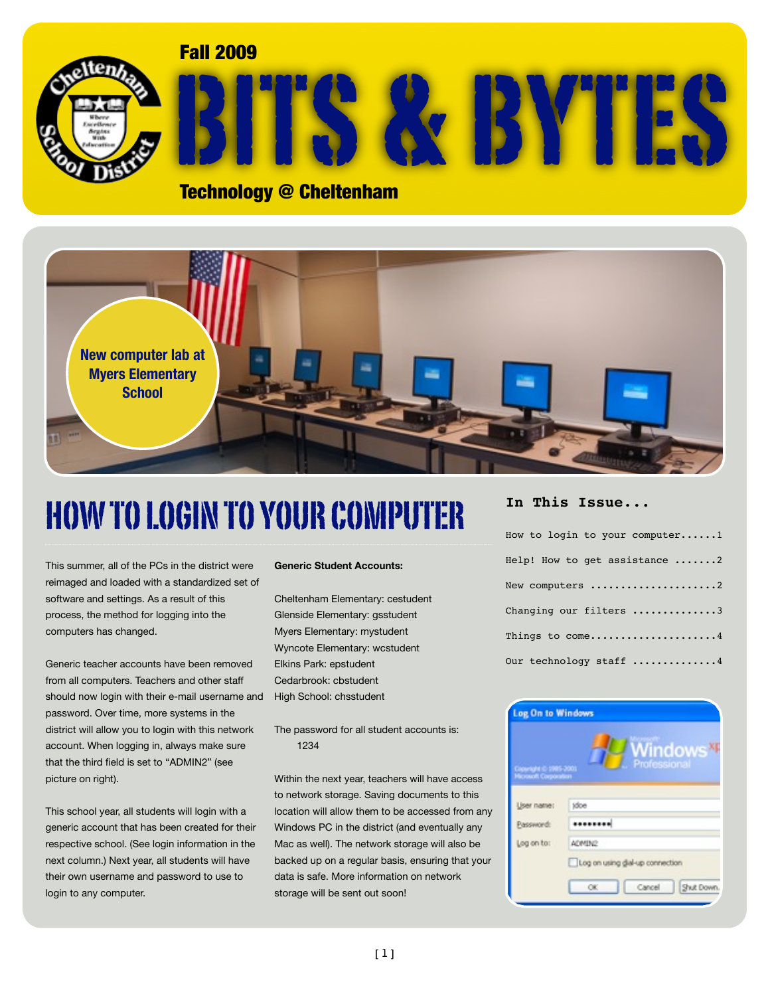Fall 2009



# BITS & BYTES

### Technology @ Cheltenham



# HOW TO LOGIN TO YOUR COMPUTER

This summer, all of the PCs in the district were reimaged and loaded with a standardized set of software and settings. As a result of this process, the method for logging into the computers has changed.

Generic teacher accounts have been removed from all computers. Teachers and other staff should now login with their e-mail username and password. Over time, more systems in the district will allow you to login with this network account. When logging in, always make sure that the third field is set to "ADMIN2" (see picture on right).

This school year, all students will login with a generic account that has been created for their respective school. (See login information in the next column.) Next year, all students will have their own username and password to use to login to any computer.

#### **Generic Student Accounts:**

Cheltenham Elementary: cestudent Glenside Elementary: gsstudent Myers Elementary: mystudent Wyncote Elementary: wcstudent Elkins Park: epstudent Cedarbrook: cbstudent High School: chsstudent

The password for all student accounts is: 1234

Within the next year, teachers will have access to network storage. Saving documents to this location will allow them to be accessed from any Windows PC in the district (and eventually any Mac as well). The network storage will also be backed up on a regular basis, ensuring that your data is safe. More information on network storage will be sent out soon!

#### **In This Issue...**

| How to login to your computer1 |
|--------------------------------|
| Help! How to get assistance 2  |
| New computers 2                |
| Changing our filters 3         |
| Things to come4                |
| Our technology staff 4         |

| <b>Log On to Windows</b> |                                 |
|--------------------------|---------------------------------|
| Copyright @ 1985-2001    | Windows<br>Professional         |
| User name:               | tdoe                            |
| Password:                |                                 |
| Log on to:               | ADMIN2                          |
|                          | Log on using dial-up connection |
|                          | Cancel<br>Shut Down.<br>OK.     |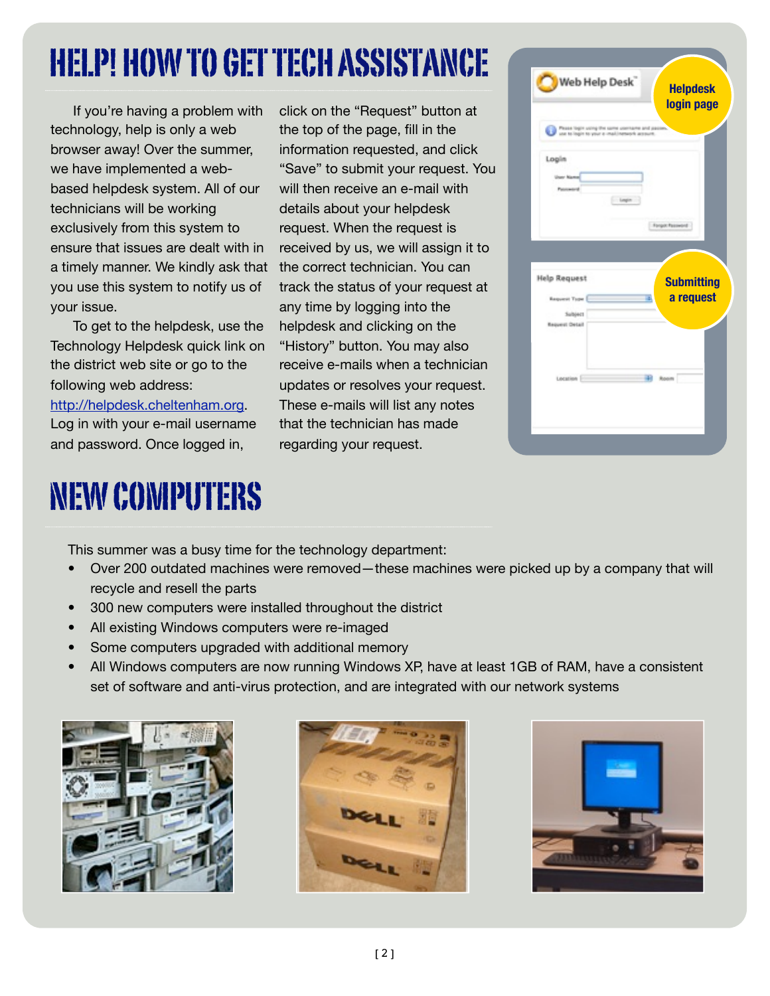# HELP! HOW TO GET TECH ASSISTANCE

If you're having a problem with technology, help is only a web browser away! Over the summer, we have implemented a webbased helpdesk system. All of our technicians will be working exclusively from this system to ensure that issues are dealt with in a timely manner. We kindly ask that you use this system to notify us of your issue.

To get to the helpdesk, use the Technology Helpdesk quick link on the district web site or go to the following web address:

<http://helpdesk.cheltenham.org>. Log in with your e-mail username and password. Once logged in,

# NEW COMPUTERS

click on the "Request" button at the top of the page, fill in the information requested, and click "Save" to submit your request. You will then receive an e-mail with details about your helpdesk request. When the request is received by us, we will assign it to the correct technician. You can track the status of your request at any time by logging into the helpdesk and clicking on the "History" button. You may also receive e-mails when a technician updates or resolves your request. These e-mails will list any notes that the technician has made regarding your request.

| Web Help Desk <sup>"</sup>                                                           | <b>Helpdesk</b><br>login page |
|--------------------------------------------------------------------------------------|-------------------------------|
| Please login using the same username and pac<br>se to login to your a mail/network a |                               |
| Login                                                                                |                               |
| User Name<br>Patotowito'd                                                            |                               |
|                                                                                      | Legim                         |
|                                                                                      | Forgot Password               |
|                                                                                      |                               |
|                                                                                      |                               |
|                                                                                      |                               |
| <b>Help Request</b>                                                                  | <b>Submitting</b>             |
| <b>Request Type</b>                                                                  | a request<br>æ,               |
| Subject                                                                              |                               |
| Request Detail                                                                       |                               |
|                                                                                      |                               |
|                                                                                      | -an<br>Room                   |

This summer was a busy time for the technology department:

- Over 200 outdated machines were removed—these machines were picked up by a company that will recycle and resell the parts
- 300 new computers were installed throughout the district
- All existing Windows computers were re-imaged
- Some computers upgraded with additional memory
- All Windows computers are now running Windows XP, have at least 1GB of RAM, have a consistent set of software and anti-virus protection, and are integrated with our network systems





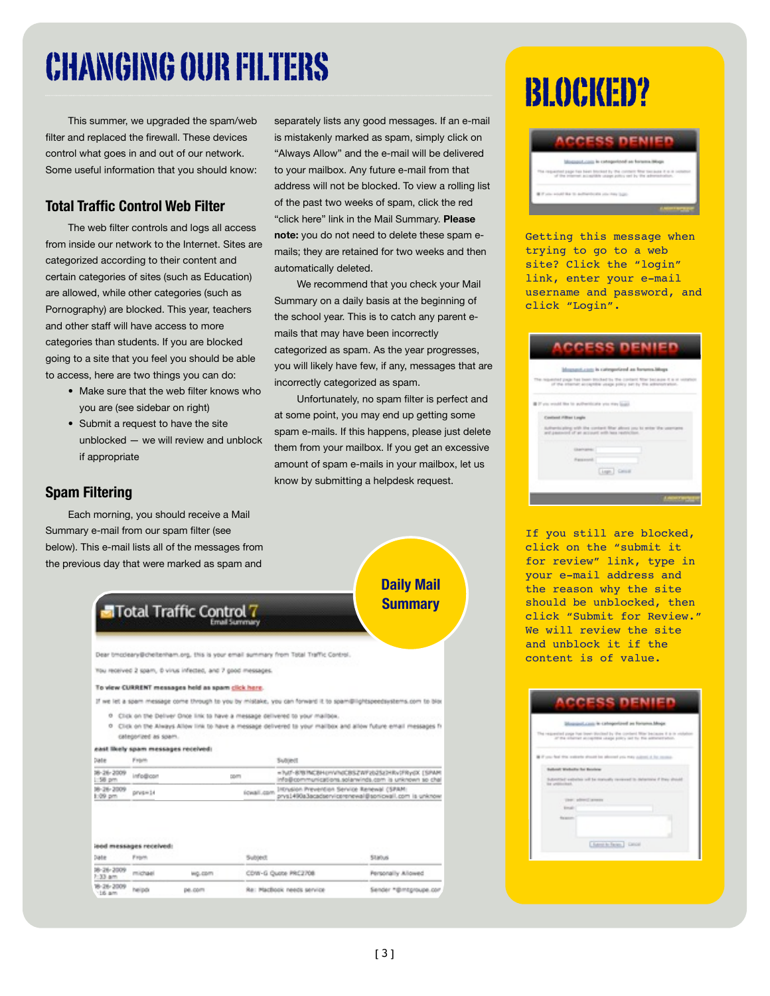# CHANGING OUR FILTERS

This summer, we upgraded the spam/web filter and replaced the firewall. These devices control what goes in and out of our network. Some useful information that you should know:

### **Total Traffic Control Web Filter**

The web filter controls and logs all access from inside our network to the Internet. Sites are categorized according to their content and certain categories of sites (such as Education) are allowed, while other categories (such as Pornography) are blocked. This year, teachers and other staff will have access to more categories than students. If you are blocked going to a site that you feel you should be able to access, here are two things you can do:

- Make sure that the web filter knows who you are (see sidebar on right)
- Submit a request to have the site unblocked — we will review and unblock if appropriate

### **Spam Filtering**

Each morning, you should receive a Mail Summary e-mail from our spam filter (see below). This e-mail lists all of the messages from the previous day that were marked as spam and

separately lists any good messages. If an e-mail is mistakenly marked as spam, simply click on "Always Allow" and the e-mail will be delivered to your mailbox. Any future e-mail from that address will not be blocked. To view a rolling list of the past two weeks of spam, click the red "click here" link in the Mail Summary. **Please note:** you do not need to delete these spam emails; they are retained for two weeks and then automatically deleted.

We recommend that you check your Mail Summary on a daily basis at the beginning of the school year. This is to catch any parent emails that may have been incorrectly categorized as spam. As the year progresses, you will likely have few, if any, messages that are incorrectly categorized as spam.

Unfortunately, no spam filter is perfect and at some point, you may end up getting some spam e-mails. If this happens, please just delete them from your mailbox. If you get an excessive amount of spam e-mails in your mailbox, let us know by submitting a helpdesk request.



### BLOCKED?



Getting this message when trying to go to a web site? Click the "login" link, enter your e-mail username and password, and click "Login".

| Magazart.com is categorized as fortena.Mogs<br>The responsively page has been disclosed by the content filter because it is at venation                    |
|------------------------------------------------------------------------------------------------------------------------------------------------------------|
| of the inferior acceptible years policy set by the administration.                                                                                         |
| If you would like to pull-settingly you way local.                                                                                                         |
| Constituted (OB) and Longins<br>Authenticating with the contant filter about you to enter the usemane<br>and pastword of an account with lane restriction. |
| Charlington:<br><b>Reparately</b>                                                                                                                          |
| [Japh] Calum                                                                                                                                               |

If you still are blocked, click on the "submit it for review" link, type in your e-mail address and the reason why the site should be unblocked, then click "Submit for Review." We will review the site and unblock it if the content is of value.

|                    | Measured casts in categorized as forums Moge                                                                                                      |  |
|--------------------|---------------------------------------------------------------------------------------------------------------------------------------------------|--|
|                    | The respected yoge has been Winted by the content May because it is in includes<br>of the charge accepted shape policy and by the administration. |  |
|                    | If if you had this subside about his abound you may automical by recent-                                                                          |  |
|                    | Subset Website for Brodyne                                                                                                                        |  |
| the problems bush. | Substituti exhelter will be convenib concessed in detectores if they should                                                                       |  |
|                    | Units, addressed operation                                                                                                                        |  |
| <b>Email:</b>      |                                                                                                                                                   |  |
| Reported           |                                                                                                                                                   |  |
|                    | Edward to Reiser Concell                                                                                                                          |  |